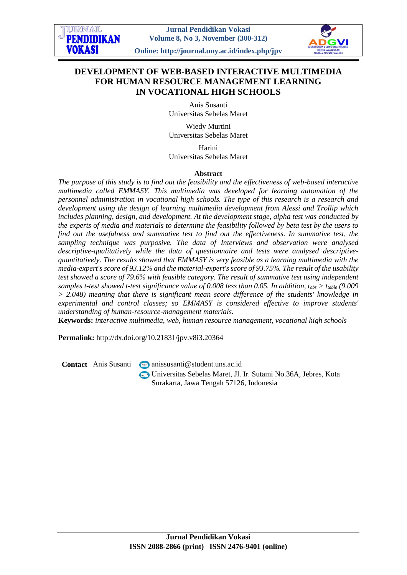# **DEVELOPMENT OF WEB-BASED INTERACTIVE MULTIMEDIA FOR HUMAN RESOURCE MANAGEMENT LEARNING IN VOCATIONAL HIGH SCHOOLS**

Anis Susanti Universitas Sebelas Maret

Wiedy Murtini Universitas Sebelas Maret

Harini

Universitas Sebelas Maret

### **Abstract**

*The purpose of this study is to find out the feasibility and the effectiveness of web-based interactive multimedia called EMMASY. This multimedia was developed for learning automation of the personnel administration in vocational high schools. The type of this research is a research and development using the design of learning multimedia development from Alessi and Trollip which includes planning, design, and development. At the development stage, alpha test was conducted by the experts of media and materials to determine the feasibility followed by beta test by the users to find out the usefulness and summative test to find out the effectiveness. In summative test, the sampling technique was purposive. The data of Interviews and observation were analysed descriptive-qualitatively while the data of questionnaire and tests were analysed descriptivequantitatively. The results showed that EMMASY is very feasible as a learning multimedia with the media-expert's score of 93.12% and the material-expert's score of 93.75%. The result of the usability test showed a score of 79.6% with feasible category. The result of summative test using independent samples t-test showed t-test significance value of 0.008 less than 0.05. In addition, tobs > ttable (9.009 > 2.048) meaning that there is significant mean score difference of the students' knowledge in experimental and control classes; so EMMASY is considered effective to improve students' understanding of human-resource-management materials.* 

**Keywords:** *interactive multimedia, web, human resource management, vocational high schools*

**Permalink:** http://dx.doi.org/10.21831/jpv.v8i3.20364

**Contact** Anis Susanti **anissus** anissus anti @ student.uns.ac.id

Universitas Sebelas Maret, Jl. Ir. Sutami No.36A, Jebres, Kota Surakarta, Jawa Tengah 57126, Indonesia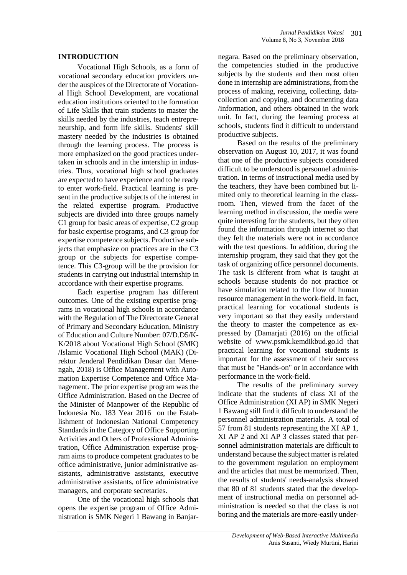### **INTRODUCTION**

Vocational High Schools, as a form of vocational secondary education providers under the auspices of the Directorate of Vocational High School Development, are vocational education institutions oriented to the formation of Life Skills that train students to master the skills needed by the industries, teach entrepreneurship, and form life skills. Students' skill mastery needed by the industries is obtained through the learning process. The process is more emphasized on the good practices undertaken in schools and in the imtership in industries. Thus, vocational high school graduates are expected to have experience and to be ready to enter work-field. Practical learning is present in the productive subjects of the interest in the related expertise program. Productive subjects are divided into three groups namely C1 group for basic areas of expertise, C2 group for basic expertise programs, and C3 group for expertise competence subjects. Productive subjects that emphasize on practices are in the C3 group or the subjects for expertise competence. This C3-group will be the provision for students in carrying out industrial internship in accordance with their expertise programs.

Each expertise program has different outcomes. One of the existing expertise programs in vocational high schools in accordance with the Regulation of The Directorate General of Primary and Secondary Education, Ministry of Education and Culture Number: 07/D.D5/K-K/2018 about Vocational High School (SMK) /Islamic Vocational High School (MAK) (Direktur Jenderal Pendidikan Dasar dan Menengah, 2018) is Office Management with Automation Expertise Competence and Office Management. The prior expertise program was the Office Administration. Based on the Decree of the Minister of Manpower of the Republic of Indonesia No. 183 Year 2016 on the Establishment of Indonesian National Competency Standards in the Category of Office Supporting Activities and Others of Professional Administration, Office Administration expertise program aims to produce competent graduates to be office administrative, junior administrative assistants, administrative assistants, executive administrative assistants, office administrative managers, and corporate secretaries.

One of the vocational high schools that opens the expertise program of Office Administration is SMK Negeri 1 Bawang in Banjar-

negara. Based on the preliminary observation, the competencies studied in the productive subjects by the students and then most often done in internship are administrations, from the process of making, receiving, collecting, datacollection and copying, and documenting data /information, and others obtained in the work unit. In fact, during the learning process at schools, students find it difficult to understand productive subjects.

Based on the results of the preliminary observation on August 10, 2017, it was found that one of the productive subjects considered difficult to be understood is personnel administration. In terms of instructional media used by the teachers, they have been combined but limited only to theoretical learning in the classroom. Then, viewed from the facet of the learning method in discussion, the media were quite interesting for the students, but they often found the information through internet so that they felt the materials were not in accordance with the test questions. In addition, during the internship program, they said that they got the task of organizing office personnel documents. The task is different from what is taught at schools because students do not practice or have simulation related to the flow of human resource management in the work-field. In fact, practical learning for vocational students is very important so that they easily understand the theory to master the competence as expressed by (Damarjati (2016) on the official website of [www.psmk.kemdikbud.go.id](http://www.psmk.kemdikbud.go.id/) that practical learning for vocational students is important for the assessment of their success that must be "Hands-on" or in accordance with performance in the work-field.

The results of the preliminary survey indicate that the students of class XI of the Office Administration (XI AP) in SMK Negeri 1 Bawang still find it difficult to understand the personnel administration materials. A total of 57 from 81 students representing the XI AP 1, XI AP 2 and XI AP 3 classes stated that personnel administration materials are difficult to understand because the subject matter is related to the government regulation on employment and the articles that must be memorized. Then, the results of students' needs-analysis showed that 80 of 81 students stated that the development of instructional media on personnel administration is needed so that the class is not boring and the materials are more-easily under-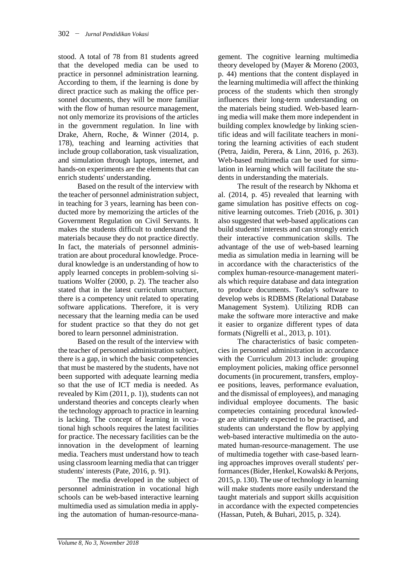stood. A total of 78 from 81 students agreed that the developed media can be used to practice in personnel administration learning. According to them, if the learning is done by direct practice such as making the office personnel documents, they will be more familiar with the flow of human resource management, not only memorize its provisions of the articles in the government regulation. In line with Drake, Ahern, Roche, & Winner (2014, p. 178), teaching and learning activities that include group collaboration, task visualization, and simulation through laptops, internet, and hands-on experiments are the elements that can enrich students' understanding.

Based on the result of the interview with the teacher of personnel administration subject, in teaching for 3 years, learning has been conducted more by memorizing the articles of the Government Regulation on Civil Servants. It makes the students difficult to understand the materials because they do not practice directly. In fact, the materials of personnel administration are about procedural knowledge. Procedural knowledge is an understanding of how to apply learned concepts in problem-solving situations Wolfer (2000, p. 2). The teacher also stated that in the latest curriculum structure, there is a competency unit related to operating software applications. Therefore, it is very necessary that the learning media can be used for student practice so that they do not get bored to learn personnel administration.

Based on the result of the interview with the teacher of personnel administration subject, there is a gap, in which the basic competencies that must be mastered by the students, have not been supported with adequate learning media so that the use of ICT media is needed. As revealed by Kim (2011, p. 1)), students can not understand theories and concepts clearly when the technology approach to practice in learning is lacking. The concept of learning in vocational high schools requires the latest facilities for practice. The necessary facilities can be the innovation in the development of learning media. Teachers must understand how to teach using classroom learning media that can trigger students' interests (Pate, 2016, p. 91).

The media developed in the subject of personnel administration in vocational high schools can be web-based interactive learning multimedia used as simulation media in applying the automation of human-resource-mana-

gement. The cognitive learning multimedia theory developed by (Mayer & Moreno (2003, p. 44) mentions that the content displayed in the learning multimedia will affect the thinking process of the students which then strongly influences their long-term understanding on the materials being studied. Web-based learning media will make them more independent in building complex knowledge by linking scientific ideas and will facilitate teachers in monitoring the learning activities of each student (Petra, Jaidin, Perera, & Linn, 2016, p. 263). Web-based multimedia can be used for simulation in learning which will facilitate the students in understanding the materials.

The result of the research by Nkhoma et al. (2014, p. 45) revealed that learning with game simulation has positive effects on cognitive learning outcomes. Trieb (2016, p. 301) also suggested that web-based applications can build students' interests and can strongly enrich their interactive communication skills. The advantage of the use of web-based learning media as simulation media in learning will be in accordance with the characteristics of the complex human-resource-management materials which require database and data integration to produce documents. Today's software to develop webs is RDBMS (Relational Database Management System). Utilizing RDB can make the software more interactive and make it easier to organize different types of data formats (Nigrelli et al., 2013, p. 101).

The characteristics of basic competencies in personnel administration in accordance with the Curriculum 2013 include: grouping employment policies, making office personnel documents (in procurement, transfers, employee positions, leaves, performance evaluation, and the dismissal of employees), and managing individual employee documents. The basic competecies containing procedural knowledge are ultimately expected to be practised, and students can understand the flow by applying web-based interactive multimedia on the automated human-resource-management. The use of multimedia together with case-based learning approaches improves overall students' performances (Bider, Henkel, Kowalski & Perjons, 2015, p. 130).The use of technology in learning will make students more easily understand the taught materials and support skills acquisition in accordance with the expected competencies (Hassan, Puteh, & Buhari, 2015, p. 324).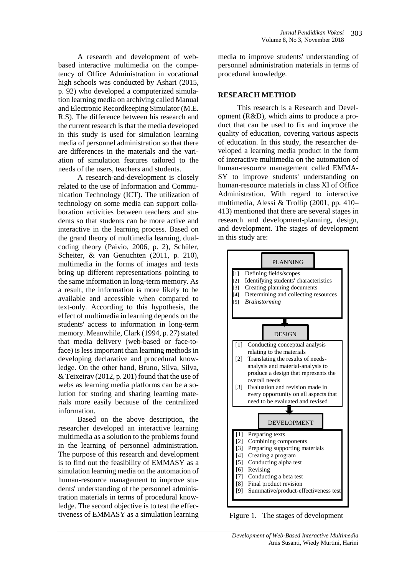A research and development of webbased interactive multimedia on the competency of Office Administration in vocational high schools was conducted by Ashari (2015, p. 92) who developed a computerized simulation learning media on archiving called Manual and Electronic Recordkeeping Simulator (M.E. R.S). The difference between his research and the current research is that the media developed in this study is used for simulation learning media of personnel administration so that there are differences in the materials and the variation of simulation features tailored to the needs of the users, teachers and students.

A research-and-development is closely related to the use of Information and Communication Technology (ICT). The utilization of technology on some media can support collaboration activities between teachers and students so that students can be more active and interactive in the learning process. Based on the grand theory of multimedia learning, dualcoding theory (Paivio, 2006, p. 2), Schüler, Scheiter, & van Genuchten (2011, p. 210), multimedia in the forms of images and texts bring up different representations pointing to the same information in long-term memory. As a result, the information is more likely to be available and accessible when compared to text-only. According to this hypothesis, the effect of multimedia in learning depends on the students' access to information in long-term memory. Meanwhile, Clark (1994, p. 27) stated that media delivery (web-based or face-toface) is less important than learning methods in developing declarative and procedural knowledge. On the other hand, Bruno, Silva, Silva, & Teixeirav (2012, p. 201) found that the use of webs as learning media platforms can be a solution for storing and sharing learning materials more easily because of the centralized information.

Based on the above description, the researcher developed an interactive learning multimedia as a solution to the problems found in the learning of personnel administration. The purpose of this research and development is to find out the feasibility of EMMASY as a simulation learning media on the automation of human-resource management to improve students' understanding of the personnel administration materials in terms of procedural knowledge. The second objective is to test the effectiveness of EMMASY as a simulation learning

media to improve students' understanding of personnel administration materials in terms of procedural knowledge.

### **RESEARCH METHOD**

This research is a Research and Development (R&D), which aims to produce a product that can be used to fix and improve the quality of education, covering various aspects of education. In this study, the researcher developed a learning media product in the form of interactive multimedia on the automation of human-resource management called EMMA-SY to improve students' understanding on human-resource materials in class XI of Office Administration. With regard to interactive multimedia, Alessi & Trollip (2001, pp. 410– 413) mentioned that there are several stages in research and development-planning, design, and development. The stages of development in this study are:



Figure 1. The stages of development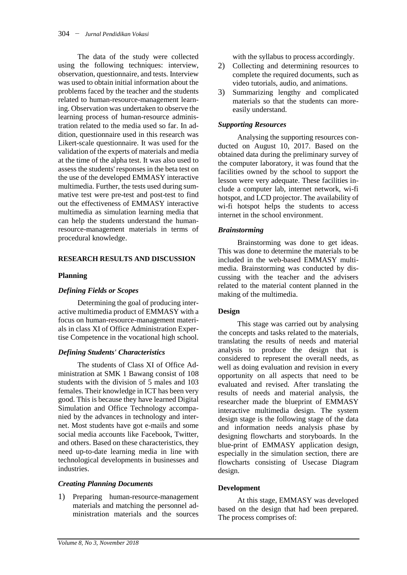The data of the study were collected using the following techniques: interview, observation, questionnaire, and tests. Interview was used to obtain initial information about the problems faced by the teacher and the students related to human-resource-management learning. Observation was undertaken to observe the learning process of human-resource administration related to the media used so far. In addition, questionnaire used in this research was Likert-scale questionnaire. It was used for the validation of the experts of materials and media at the time of the alpha test. It was also used to assess the students' responses in the beta test on the use of the developed EMMASY interactive multimedia. Further, the tests used during summative test were pre-test and post-test to find out the effectiveness of EMMASY interactive multimedia as simulation learning media that can help the students understand the humanresource-management materials in terms of procedural knowledge.

### **RESEARCH RESULTS AND DISCUSSION**

### **Planning**

### *Defining Fields or Scopes*

Determining the goal of producing interactive multimedia product of EMMASY with a focus on human-resource-management materials in class XI of Office Administration Expertise Competence in the vocational high school.

### *Defining Students' Characteristics*

The students of Class XI of Office Administration at SMK 1 Bawang consist of 108 students with the division of 5 males and 103 females. Their knowledge in ICT has been very good. This is because they have learned Digital Simulation and Office Technology accompanied by the advances in technology and internet. Most students have got e-mails and some social media accounts like Facebook, Twitter, and others. Based on these characteristics, they need up-to-date learning media in line with technological developments in businesses and industries.

### *Creating Planning Documents*

1) Preparing human-resource-management materials and matching the personnel administration materials and the sources

with the syllabus to process accordingly.

- 2) Collecting and determining resources to complete the required documents, such as video tutorials, audio, and animations.
- 3) Summarizing lengthy and complicated materials so that the students can moreeasily understand.

### *Supporting Resources*

Analysing the supporting resources conducted on August 10, 2017. Based on the obtained data during the preliminary survey of the computer laboratory, it was found that the facilities owned by the school to support the lesson were very adequate. These facilities include a computer lab, internet network, wi-fi hotspot, and LCD projector. The availability of wi-fi hotspot helps the students to access internet in the school environment.

### *Brainstorming*

Brainstorming was done to get ideas. This was done to determine the materials to be included in the web-based EMMASY multimedia. Brainstorming was conducted by discussing with the teacher and the advisers related to the material content planned in the making of the multimedia.

### **Design**

This stage was carried out by analysing the concepts and tasks related to the materials, translating the results of needs and material analysis to produce the design that is considered to represent the overall needs, as well as doing evaluation and revision in every opportunity on all aspects that need to be evaluated and revised. After translating the results of needs and material analysis, the researcher made the blueprint of EMMASY interactive multimedia design. The system design stage is the following stage of the data and information needs analysis phase by designing flowcharts and storyboards. In the blue-print of EMMASY application design, especially in the simulation section, there are flowcharts consisting of Usecase Diagram design.

### **Development**

At this stage, EMMASY was developed based on the design that had been prepared. The process comprises of: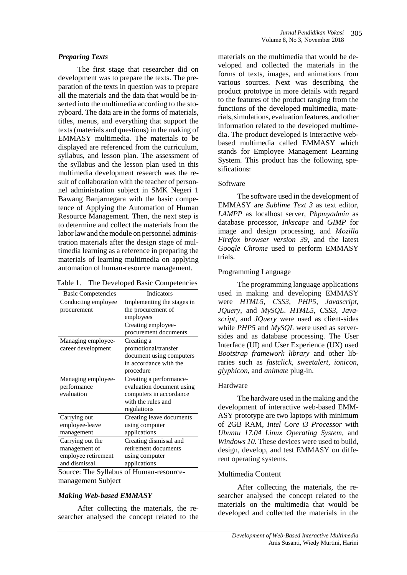#### *Preparing Texts*

The first stage that researcher did on development was to prepare the texts. The preparation of the texts in question was to prepare all the materials and the data that would be inserted into the multimedia according to the storyboard. The data are in the forms of materials, titles, menus, and everything that support the texts (materials and questions) in the making of EMMASY multimedia. The materials to be displayed are referenced from the curriculum, syllabus, and lesson plan. The assessment of the syllabus and the lesson plan used in this multimedia development research was the result of collaboration with the teacher of personnel administration subject in SMK Negeri 1 Bawang Banjarnegara with the basic competence of Applying the Automation of Human Resource Management. Then, the next step is to determine and collect the materials from the labor law and the module on personnel administration materials after the design stage of multimedia learning as a reference in preparing the materials of learning multimedia on applying automation of human-resource management.

Table 1. The Developed Basic Competencies

| <b>Basic Competencies</b> | Indicators                 |
|---------------------------|----------------------------|
| Conducting employee       | Implementing the stages in |
| procurement               | the procurement of         |
|                           | employees                  |
|                           | Creating employee-         |
|                           | procurement documents      |
| Managing employee-        | Creating a                 |
| career development        | promotional/transfer       |
|                           | document using computers   |
|                           | in accordance with the     |
|                           | procedure                  |
| Managing employee-        | Creating a performance-    |
| performance               | evaluation document using  |
| evaluation                | computers in accordance    |
|                           | with the rules and         |
|                           | regulations                |
| Carrying out              | Creating leave documents   |
| employee-leave            | using computer             |
| management                | applications               |
| Carrying out the          | Creating dismissal and     |
| management of             | retirement documents       |
| employee retirement       | using computer             |
| and dismissal.            | applications               |

Source: The Syllabus of Human-resourcemanagement Subject

#### *Making Web-based EMMASY*

After collecting the materials, the researcher analysed the concept related to the

materials on the multimedia that would be developed and collected the materials in the forms of texts, images, and animations from various sources. Next was describing the product prototype in more details with regard to the features of the product ranging from the functions of the developed multimedia, materials,simulations, evaluation features, and other information related to the developed multimedia. The product developed is interactive webbased multimedia called EMMASY which stands for Employee Management Learning System. This product has the following spesifications:

#### Software

The software used in the development of EMMASY are *Sublime Text 3* as text editor, *LAMPP* as localhost server, *Phpmyadmin* as database processor, *Inkscape* and *GIMP* for image and design processing, and *Mozilla Firefox browser version 39*, and the latest *Google Chrome* used to perform EMMASY trials.

#### Programming Language

The programming language applications used in making and developing EMMASY were *HTML5*, *CSS3*, *PHP5*, *Javascript*, *JQuery*, and *MySQL*. *HTML5*, *CSS3*, *Javascript*, and *JQuery* were used as client-sides while *PHP5* and *MySQL* were used as serversides and as database processing. The User Interface (UI) and User Experience (UX) used *Bootstrap framework library* and other libraries such as *fastclick*, *sweetalert*, *ionicon*, *glyphicon*, and *animate* plug-in.

### Hardware

The hardware used in the making and the development of interactive web-based EMM-ASY prototype are two laptops with minimum of 2GB RAM, *Intel Core i3 Processor* with *Ubuntu 17.04 Linux Operating System,* and *Windows 10.* These devices were used to build, design, develop, and test EMMASY on different operating systems.

### Multimedia Content

After collecting the materials, the researcher analysed the concept related to the materials on the multimedia that would be developed and collected the materials in the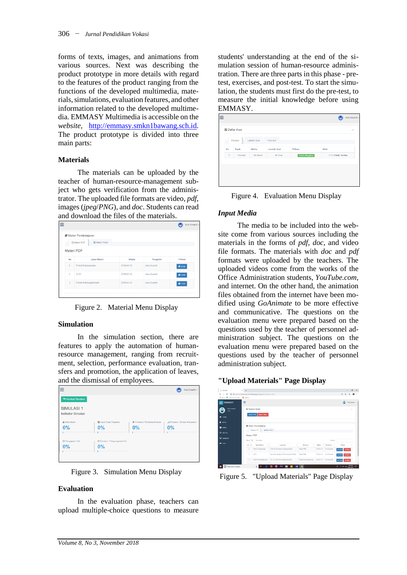forms of texts, images, and animations from various sources. Next was describing the product prototype in more details with regard to the features of the product ranging from the functions of the developed multimedia, materials,simulations, evaluation features, and other information related to the developed multimedia. EMMASY Multimedia is accessible on the *website,* [http://emmasy.smkn1bawang.sch.id.](http://emmasy.smkn1bawang.sch.id/) The product prototype is divided into three main parts:

### **Materials**

The materials can be uploaded by the teacher of human-resource-management subject who gets verification from the administrator. The uploaded file formats are video, *pdf*, images (*jpeg*/*PNG*), and *doc*. Students can read and download the files of the materials.

|                | Materi Pembelajaran                   |            |              |                |
|----------------|---------------------------------------|------------|--------------|----------------|
|                | <b>A</b> Materi PDF<br>R Materi Video |            |              |                |
|                | Materi PDF                            |            |              |                |
|                |                                       |            |              |                |
| <b>No</b>      | <b>Judul Materi</b>                   | Waktu      | Pengirim     | Pillhan        |
| 1              | Pokok Kepegawaian                     | 2018-03-15 | Anis Susanti | <b>B</b> Lihat |
|                | CUTI                                  | 2018-03-15 | Anis Susanti | <b>B</b> Lihat |
| $\overline{2}$ |                                       |            |              |                |

Figure 2. Material Menu Display

# **Simulation**

In the simulation section, there are features to apply the automation of humanresource management, ranging from recruitment, selection, performance evaluation, transfers and promotion, the application of leaves, and the dismissal of employees.

|                                               |                              | ᆂ<br>-                     |                               |
|-----------------------------------------------|------------------------------|----------------------------|-------------------------------|
| $\equiv$                                      |                              |                            | Anis Susanti ~                |
| Kembali Simullasi                             |                              |                            |                               |
| <b>SIMULASI1</b><br><b>Indikator Simulasi</b> |                              |                            |                               |
| & Rekrutmen                                   | 을 Input Data Pegawai         | Prosedur Penilaian Kinerja | "al Promosi / Mutasi Karyawan |
| 0%                                            | 0%                           | 0%                         | 0%                            |
| O Pengajuan Cuti                              | © Pensiun / Pengunguran Diri |                            |                               |
| 0%                                            | 0%                           |                            |                               |

Figure 3. Simulation Menu Display

### **Evaluation**

In the evaluation phase, teachers can upload multiple-choice questions to measure

students' understanding at the end of the simulation session of human-resource administration. There are three parts in this phase - pretest, exercises, and post-test. To start the simulation, the students must first do the pre-test, to measure the initial knowledge before using EMMASY.

Figure 4. Evaluation Menu Display

# *Input Media*

The media to be included into the website come from various sources including the materials in the forms of *pdf*, *doc*, and video file formats. The materials with *doc* and *pdf* formats were uploaded by the teachers. The uploaded videos come from the works of the Office Administration students, *YouTube.com*, and internet. On the other hand, the animation files obtained from the internet have been modified using *GoAnimate* to be more effective and communicative. The questions on the evaluation menu were prepared based on the questions used by the teacher of personnel administration subject. The questions on the evaluation menu were prepared based on the questions used by the teacher of personnel administration subject.

# **"Upload Materials" Page Display**

| C BANKSY                                                | $x +$                   |                                                                 |                                        |                         |            |                        | $\overline{\phantom{a}}$ | а                           | $\mathbf x$ |
|---------------------------------------------------------|-------------------------|-----------------------------------------------------------------|----------------------------------------|-------------------------|------------|------------------------|--------------------------|-----------------------------|-------------|
| $\circ$<br>$\rightarrow$<br>÷.<br>III Am R hombelebeler | <b>ERI</b> Stormal      | (i) Not secure   emmary resinitional pochus/provincies/primates |                                        |                         |            |                        | $\Phi_T$                 |                             |             |
| <b>ET EMMASY</b>                                        | Ξ                       |                                                                 |                                        |                         |            |                        |                          | Ank Susant v.               |             |
| Ann Susanni<br>Gent<br><b>R HOME</b>                    | Materi PDF              | + Tambah Materi<br>Materi Video                                 |                                        |                         |            |                        |                          | $\mathcal{L}_{\mathcal{A}}$ |             |
| A MON<br><b>W</b> sow.                                  |                         | <b>R</b> Materi Pembelalaran                                    |                                        |                         |            |                        |                          |                             |             |
| <b>EZ MATER</b>                                         | Materi PDF              | <b>PAMIRE Wdee</b><br>20 Mated PDF                              |                                        |                         |            |                        |                          |                             |             |
| <b>Q</b> statutosi                                      | Show<br>$\overline{1}$  | · antico                                                        |                                        |                         |            | Saards.                |                          |                             |             |
| <b>M</b> KUS                                            | No Il                   | $\mathbb{R}^+$<br>Kyna Mated                                    | $\mathbb{R}^n$<br>Lampiran             | Kategori<br>Ħ           | Watte III  | Fengirim III           | Pilhan                   | п                           |             |
|                                                         | ×                       | Pulos Kapegawalan                                               | 1974 UU 58 pskok kepegavalan.pdf       | Mated PNS               |            | 2010/03/15 Anic Susant | $m$ USM<br>M             |                             |             |
|                                                         | $\overline{\mathbf{z}}$ | <b>CUTI</b>                                                     | go nomor 24 tahun 1976 tentang CUTLpdf | Mated PNS               | 2010/03/15 | Ank-Susant             | 40.188<br>$x$ Hassa      |                             |             |
|                                                         | x                       | Pakok Ketenagakedaan                                            | UU. 13.2003. Ketenagakedaan.pdf        | Materi Ketenaga kerjaan |            | 2010/03/15 Anis Susant | witner.<br>$m$ UHH       |                             |             |
| E<br>O Type here to search                              |                         | з<br>е                                                          | ច<br><b>NB</b><br>m<br>Б               | o                       |            |                        | A.<br>A KI & GUASSI      |                             | Q           |

Figure 5. "Upload Materials" Page Display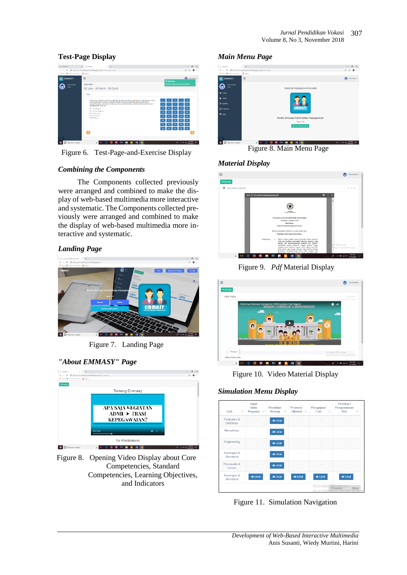### **Test-Page Display**



Figure 6. Test-Page-and-Exercise Display

# *Combining the Components*

The Components collected previously were arranged and combined to make the display of web-based multimedia more interactive and systematic. The Components collected previously were arranged and combined to make the display of web-based multimedia more interactive and systematic.

# *Landing Page*



Figure 7. Landing Page

# *"About EMMASY" Page*



Figure 8. Opening Video Display about Core Competencies, Standard Competencies, Learning Objectives, and Indicators

### *Main Menu Page*



Figure 8. Main Menu Page

# *Material Display*



Figure 9. *Pdf* Material Display



Figure 10. Video Material Display

# *Simulation Menu Display*

| <b>Jî</b><br>Unit                | Input<br>Data<br>Pegawai I | Penilaian<br>Kinerja If | Promosi<br>/ Mutasi Jî | Pengajuan<br>Cuti<br>$\perp \uparrow$ | Pensiun /<br>Pengunduran<br>Diri<br>Jî    |
|----------------------------------|----------------------------|-------------------------|------------------------|---------------------------------------|-------------------------------------------|
| Penjualan &<br><b>Distribusi</b> |                            | $\bullet$ Lihat         |                        |                                       |                                           |
| Manufaktur                       |                            | $\bullet$ Lihat         |                        |                                       |                                           |
| Engineering                      |                            | $\bullet$ Lihat         |                        | $\sim$                                |                                           |
| Keuangan &<br>Akuntansi          |                            | $\bullet$ Lihat         | ٠                      | ×                                     | i.                                        |
| Personalia &<br><b>Umum</b>      |                            | <b>lihat</b>            |                        | ٠                                     |                                           |
| Keuangan &<br>Akuntansi          | <b>O</b> Lihat             | $\bullet$ Lihat         | <b>O</b> Lihat         | $\odot$ Lihat                         | <b>O</b> Lihat                            |
|                                  |                            |                         |                        | Activate Vindows                      | Next<br>Go to Settings to activate Window |

Figure 11. Simulation Navigation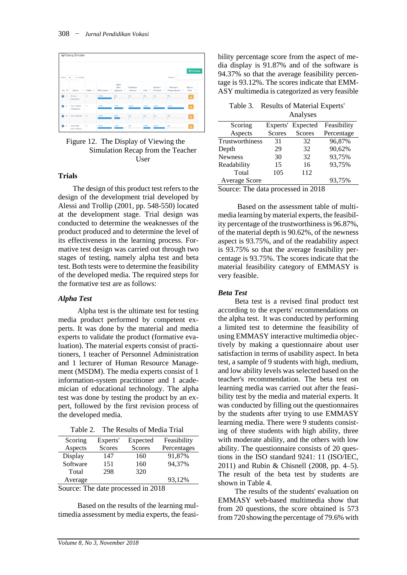| Ruang Simulasi                                |                            |                |              |                             |                           |                      |                     |                             |                              |
|-----------------------------------------------|----------------------------|----------------|--------------|-----------------------------|---------------------------|----------------------|---------------------|-----------------------------|------------------------------|
| Show<br>Search:<br>10<br>$\mathbf{v}$ entries |                            |                |              |                             |                           |                      |                     | 图 Penilaian                 |                              |
| No IL                                         | Ħ<br>Nama                  | Kelas II       | Rekrutmen II | Input<br>data<br>pegawai II | Penilaian<br>Ħ<br>Kinerja | Cuti IT              | Mutasi /<br>Promosi | Pensiun /<br>Pengunduran IT | <b>Status</b><br>11<br>Nilai |
|                                               | lin nur<br>hidayanti       | $\overline{2}$ | 100%         | 0%                          | 0%                        | 0%                   | 0%                  | 0%                          | $\pmb{\Delta}$               |
| 2.<br>$\bullet$                               | Asri Latifah<br>Anggraeni  | 1              | 100%         | 75%                         | 100%                      | 100%                 | 100%                | 100%                        | $\Delta$                     |
| $\mathbf{3}$                                  | Nur Hidayati               | $\bar{2}$      | 100%         | 50%<br>m.                   | 0%<br>r.                  | 0%<br><b>COLLEGE</b> | 0%<br>г             | 0%                          | A                            |
| 4.                                            | riesmalla<br>ainin affidza | $\overline{a}$ | 100%         | 75%                         | 0%                        | 100%                 | 100%                | 0%                          | $\mathbf{A}$                 |

Figure 12. The Display of Viewing the Simulation Recap from the Teacher **User** 

#### **Trials**

The design of this product test refers to the design of the development trial developed by Alessi and Trollip (2001, pp. 548-550) located at the development stage. Trial design was conducted to determine the weaknesses of the product produced and to determine the level of its effectiveness in the learning process. Formative test design was carried out through two stages of testing, namely alpha test and beta test. Both tests were to determine the feasibility of the developed media. The required steps for the formative test are as follows:

### *Alpha Test*

Alpha test is the ultimate test for testing media product performed by competent experts. It was done by the material and media experts to validate the product (formative evaluation). The material experts consist of practitioners, 1 teacher of Personnel Administration and 1 lecturer of Human Resource Management (MSDM). The media experts consist of 1 information-system practitioner and 1 academician of educational technology. The alpha test was done by testing the product by an expert, followed by the first revision process of the developed media.

Table 2. The Results of Media Trial

| Scoring  | Experts'      | Expected      | Feasibility |
|----------|---------------|---------------|-------------|
| Aspects  | <b>Scores</b> | <b>Scores</b> | Percentages |
| Display  | 147           | 160           | 91,87%      |
| Software | 151           | 160           | 94,37%      |
| Total    | 298           | 320           |             |
| Average  |               |               | 93,12%      |
|          |               |               |             |

Source: The date processed in 2018

Based on the results of the learning multimedia assessment by media experts, the feasibility percentage score from the aspect of media display is 91.87% and of the software is 94.37% so that the average feasibility percentage is 93.12%. The scores indicate that EMM-ASY multimedia is categorized as very feasible

| Table 3. Results of Material Experts' |
|---------------------------------------|
| Analyses                              |

|                 |               | Aliai y SUS       |             |
|-----------------|---------------|-------------------|-------------|
| Scoring         |               | Experts' Expected | Feasibility |
| Aspects         | <b>Scores</b> | <b>Scores</b>     | Percentage  |
| Trustworthiness | 31            | 32                | 96,87%      |
| Depth           | 29            | 32                | 90,62%      |
| Newness         | 30            | 32                | 93,75%      |
| Readability     | 15            | 16                | 93,75%      |
| Total           | 105           | 112               |             |
| Average Score   |               |                   | 93,75%      |

Source: The data processed in 2018

Based on the assessment table of multimedia learning by material experts, the feasibility percentage of the trustworthiness is 96.87%, of the material depth is 90.62%, of the newness aspect is 93.75%, and of the readability aspect is 93.75% so that the average feasibility percentage is 93.75%. The scores indicate that the material feasibility category of EMMASY is very feasible.

### *Beta Test*

Beta test is a revised final product test according to the experts' recommendations on the alpha test. It was conducted by performing a limited test to determine the feasibility of using EMMASY interactive multimedia objectively by making a questionnaire about user satisfaction in terms of usability aspect. In beta test, a sample of 9 students with high, medium, and low ability levels was selected based on the teacher's recommendation. The beta test on learning media was carried out after the feasibility test by the media and material experts. It was conducted by filling out the questionnaires by the students after trying to use EMMASY learning media. There were 9 students consisting of three students with high ability, three with moderate ability, and the others with low ability. The questionnaire consists of 20 questions in the ISO standard 9241: 11 (ISO/IEC, 2011) and Rubin & Chisnell (2008, pp. 4–5). The result of the beta test by students are shown in Table 4.

The results of the students' evaluation on EMMASY web-based multimedia show that from 20 questions, the score obtained is 573 from720 showing the percentage of 79.6% with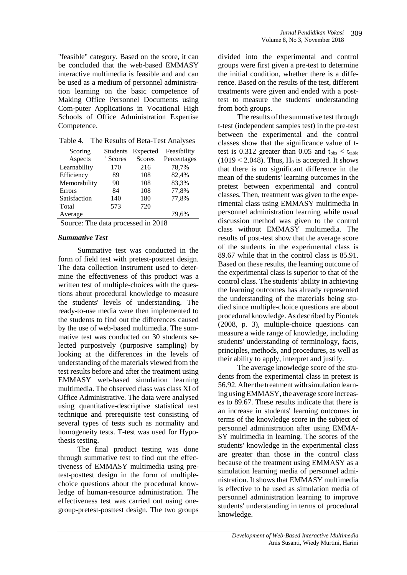"feasible" category. Based on the score, it can be concluded that the web-based EMMASY interactive multimedia is feasible and and can be used as a medium of personnel administration learning on the basic competence of Making Office Personnel Documents using Com-puter Applications in Vocational High Schools of Office Administration Expertise Competence.

Table 4. The Results of Beta-Test Analyses

| Scoring      | Students | Expected      | Feasibility |
|--------------|----------|---------------|-------------|
| Aspects      | ' Scores | <b>Scores</b> | Percentages |
| Learnability | 170      | 216           | 78,7%       |
| Efficiency   | 89       | 108           | 82,4%       |
| Memorability | 90       | 108           | 83,3%       |
| Errors       | 84       | 108           | 77,8%       |
| Satisfaction | 140      | 180           | 77,8%       |
| Total        | 573      | 720           |             |
| Average      |          |               | 79,6%       |
|              |          |               |             |

Source: The data processed in 2018

# *Summative Test*

Summative test was conducted in the form of field test with pretest-posttest design. The data collection instrument used to determine the effectiveness of this product was a written test of multiple-choices with the questions about procedural knowledge to measure the students' levels of understanding. The ready-to-use media were then implemented to the students to find out the differences caused by the use of web-based multimedia. The summative test was conducted on 30 students selected purposively (purposive sampling) by looking at the differences in the levels of understanding of the materials viewed from the test results before and after the treatment using EMMASY web-based simulation learning multimedia. The observed class was class XI of Office Administrative. The data were analysed using quantitative-descriptive statistical test technique and prerequisite test consisting of several types of tests such as normality and homogeneity tests. T-test was used for Hypothesis testing.

The final product testing was done through summative test to find out the effectiveness of EMMASY multimedia using pretest-posttest design in the form of multiplechoice questions about the procedural knowledge of human-resource administration. The effectiveness test was carried out using onegroup-pretest-posttest design. The two groups

divided into the experimental and control groups were first given a pre-test to determine the initial condition, whether there is a difference. Based on the results of the test, different treatments were given and ended with a posttest to measure the students' understanding from both groups.

The results of the summative test through t-test (independent samples test) in the pre-test between the experimental and the control classes show that the significance value of ttest is  $0.312$  greater than  $0.05$  and  $t_{obs} < t_{table}$  $(1019 < 2.048)$ . Thus, H<sub>0</sub> is accepted. It shows that there is no significant difference in the mean of the students' learning outcomes in the pretest between experimental and control classes. Then, treatment was given to the experimental class using EMMASY multimedia in personnel administration learning while usual discussion method was given to the control class without EMMASY multimedia. The results of post-test show that the average score of the students in the experimental class is 89.67 while that in the control class is 85.91. Based on these results, the learning outcome of the experimental class is superior to that of the control class. The students' ability in achieving the learning outcomes has already represented the understanding of the materials being studied since multiple-choice questions are about procedural knowledge. As described by Piontek (2008, p. 3), multiple-choice questions can measure a wide range of knowledge, including students' understanding of terminology, facts, principles, methods, and procedures, as well as their ability to apply, interpret and justify.

The average knowledge score of the students from the experimental class in pretest is 56.92. After the treatment with simulation learning using EMMASY, the average score increases to 89.67. These results indicate that there is an increase in students' learning outcomes in terms of the knowledge score in the subject of personnel administration after using EMMA-SY multimedia in learning. The scores of the students' knowledge in the experimental class are greater than those in the control class because of the treatment using EMMASY as a simulation learning media of personnel administration. It shows that EMMASY multimedia is effective to be used as simulation media of personnel administration learning to improve students' understanding in terms of procedural knowledge.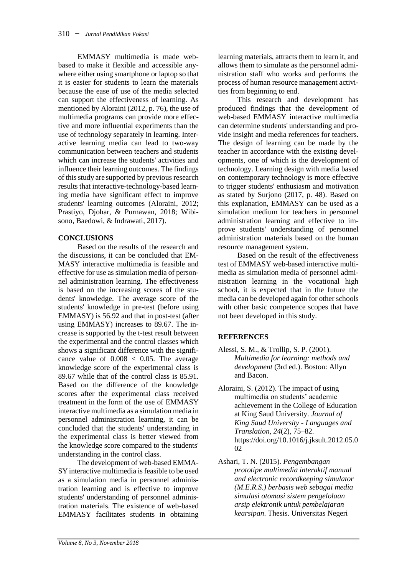EMMASY multimedia is made webbased to make it flexible and accessible anywhere either using smartphone or laptop so that it is easier for students to learn the materials because the ease of use of the media selected can support the effectiveness of learning. As mentioned by Aloraini (2012, p. 76), the use of multimedia programs can provide more effective and more influential experiments than the use of technology separately in learning. Interactive learning media can lead to two-way communication between teachers and students which can increase the students' activities and influence their learning outcomes. The findings of thisstudy are supported by previous research results that interactive-technology-based learning media have significant effect to improve students' learning outcomes (Aloraini, 2012; Prastiyo, Djohar, & Purnawan, 2018; Wibisono, Baedowi, & Indrawati, 2017).

### **CONCLUSIONS**

Based on the results of the research and the discussions, it can be concluded that EM-MASY interactive multimedia is feasible and effective for use as simulation media of personnel administration learning. The effectiveness is based on the increasing scores of the students' knowledge. The average score of the students' knowledge in pre-test (before using EMMASY) is 56.92 and that in post-test (after using EMMASY) increases to 89.67. The increase is supported by the t-test result between the experimental and the control classes which shows a significant difference with the significance value of  $0.008 < 0.05$ . The average knowledge score of the experimental class is 89.67 while that of the control class is 85.91. Based on the difference of the knowledge scores after the experimental class received treatment in the form of the use of EMMASY interactive multimedia as a simulation media in personnel administration learning, it can be concluded that the students' understanding in the experimental class is better viewed from the knowledge score compared to the students' understanding in the control class.

The development of web-based EMMA-SY interactive multimedia is feasible to be used as a simulation media in personnel administration learning and is effective to improve students' understanding of personnel administration materials. The existence of web-based EMMASY facilitates students in obtaining learning materials, attracts them to learn it, and allows them to simulate as the personnel administration staff who works and performs the process of human resource management activities from beginning to end.

This research and development has produced findings that the development of web-based EMMASY interactive multimedia can determine students' understanding and provide insight and media references for teachers. The design of learning can be made by the teacher in accordance with the existing developments, one of which is the development of technology. Learning design with media based on contemporary technology is more effective to trigger students' enthusiasm and motivation as stated by Surjono (2017, p. 48). Based on this explanation, EMMASY can be used as a simulation medium for teachers in personnel administration learning and effective to improve students' understanding of personnel administration materials based on the human resource management system.

Based on the result of the effectiveness test of EMMASY web-based interactive multimedia as simulation media of personnel administration learning in the vocational high school, it is expected that in the future the media can be developed again for other schools with other basic competence scopes that have not been developed in this study.

### **REFERENCES**

- Alessi, S. M., & Trollip, S. P. (2001). *Multimedia for learning: methods and development* (3rd ed.). Boston: Allyn and Bacon.
- Aloraini, S. (2012). The impact of using multimedia on students' academic achievement in the College of Education at King Saud University. *Journal of King Saud University - Languages and Translation*, *24*(2), 75–82. https://doi.org/10.1016/j.jksult.2012.05.0 02
- Ashari, T. N. (2015). *Pengembangan prototipe multimedia interaktif manual and electronic recordkeeping simulator (M.E.R.S.) berbasis web sebagai media simulasi otomasi sistem pengelolaan arsip elektronik untuk pembelajaran kearsipan*. Thesis. Universitas Negeri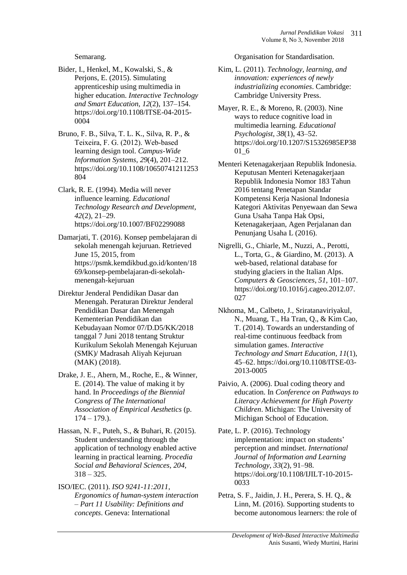Semarang.

- Bider, I., Henkel, M., Kowalski, S., & Perjons, E. (2015). Simulating apprenticeship using multimedia in higher education. *Interactive Technology and Smart Education*, *12*(2), 137–154. https://doi.org/10.1108/ITSE-04-2015- 0004
- Bruno, F. B., Silva, T. L. K., Silva, R. P., & Teixeira, F. G. (2012). Web‐based learning design tool. *Campus-Wide Information Systems*, *29*(4), 201–212. https://doi.org/10.1108/10650741211253 804
- Clark, R. E. (1994). Media will never influence learning. *Educational Technology Research and Development*, *42*(2), 21–29. https://doi.org/10.1007/BF02299088
- Damarjati, T. (2016). Konsep pembelajaran di sekolah menengah kejuruan. Retrieved June 15, 2015, from https://psmk.kemdikbud.go.id/konten/18 69/konsep-pembelajaran-di-sekolahmenengah-kejuruan
- Direktur Jenderal Pendidikan Dasar dan Menengah. Peraturan Direktur Jenderal Pendidikan Dasar dan Menengah Kementerian Pendidikan dan Kebudayaan Nomor 07/D.D5/KK/2018 tanggal 7 Juni 2018 tentang Struktur Kurikulum Sekolah Menengah Kejuruan (SMK)/ Madrasah Aliyah Kejuruan (MAK) (2018).
- Drake, J. E., Ahern, M., Roche, E., & Winner, E. (2014). The value of making it by hand. In *Proceedings of the Biennial Congress of The International Association of Empirical Aesthetics* (p.  $174 - 179.$ ).
- Hassan, N. F., Puteh, S., & Buhari, R. (2015). Student understanding through the application of technology enabled active learning in practical learning. *Procedia Social and Behavioral Sciences*, *204*,  $318 - 325$ .
- ISO/IEC. (2011). *ISO 9241-11:2011, Ergonomics of human-system interaction – Part 11 Usability: Definitions and concepts*. Geneva: International

Organisation for Standardisation.

- Kim, L. (2011). *Technology, learning, and innovation: experiences of newly industrializing economies*. Cambridge: Cambridge University Press.
- Mayer, R. E., & Moreno, R. (2003). Nine ways to reduce cognitive load in multimedia learning. *Educational Psychologist*, *38*(1), 43–52. https://doi.org/10.1207/S15326985EP38 01\_6
- Menteri Ketenagakerjaan Republik Indonesia. Keputusan Menteri Ketenagakerjaan Republik Indonesia Nomor 183 Tahun 2016 tentang Penetapan Standar Kompetensi Kerja Nasional Indonesia Kategori Aktivitas Penyewaan dan Sewa Guna Usaha Tanpa Hak Opsi, Ketenagakerjaan, Agen Perjalanan dan Penunjang Usaha L (2016).
- Nigrelli, G., Chiarle, M., Nuzzi, A., Perotti, L., Torta, G., & Giardino, M. (2013). A web-based, relational database for studying glaciers in the Italian Alps. *Computers & Geosciences*, *51*, 101–107. https://doi.org/10.1016/j.cageo.2012.07. 027
- Nkhoma, M., Calbeto, J., Sriratanaviriyakul, N., Muang, T., Ha Tran, Q., & Kim Cao, T. (2014). Towards an understanding of real-time continuous feedback from simulation games. *Interactive Technology and Smart Education*, *11*(1), 45–62. https://doi.org/10.1108/ITSE-03- 2013-0005
- Paivio, A. (2006). Dual coding theory and education. In *Conference on Pathways to Literacy Achievement for High Poverty Children*. Michigan: The University of Michigan School of Education.
- Pate, L. P. (2016). Technology implementation: impact on students' perception and mindset. *International Journal of Information and Learning Technology*, *33*(2), 91–98. https://doi.org/10.1108/IJILT-10-2015- 0033
- Petra, S. F., Jaidin, J. H., Perera, S. H. Q., & Linn, M. (2016). Supporting students to become autonomous learners: the role of